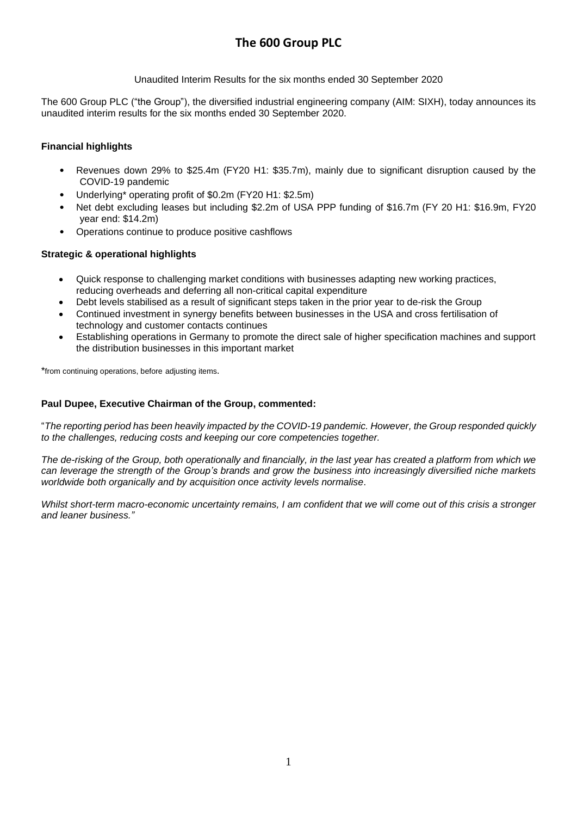Unaudited Interim Results for the six months ended 30 September 2020

The 600 Group PLC ("the Group"), the diversified industrial engineering company (AIM: SIXH), today announces its unaudited interim results for the six months ended 30 September 2020.

## **Financial highlights**

- Revenues down 29% to \$25.4m (FY20 H1: \$35.7m), mainly due to significant disruption caused by the COVID-19 pandemic
- Underlying\* operating profit of \$0.2m (FY20 H1: \$2.5m)
- Net debt excluding leases but including \$2.2m of USA PPP funding of \$16.7m (FY 20 H1: \$16.9m, FY20 year end: \$14.2m)
- Operations continue to produce positive cashflows

## **Strategic & operational highlights**

- Quick response to challenging market conditions with businesses adapting new working practices, reducing overheads and deferring all non-critical capital expenditure
- Debt levels stabilised as a result of significant steps taken in the prior year to de-risk the Group
- Continued investment in synergy benefits between businesses in the USA and cross fertilisation of technology and customer contacts continues
- Establishing operations in Germany to promote the direct sale of higher specification machines and support the distribution businesses in this important market

\*from continuing operations, before adjusting items.

### **Paul Dupee, Executive Chairman of the Group, commented:**

"*The reporting period has been heavily impacted by the COVID-19 pandemic. However, the Group responded quickly to the challenges, reducing costs and keeping our core competencies together.*

The de-risking of the Group, both operationally and financially, in the last year has created a platform from which we can leverage the strength of the Group's brands and grow the business into increasingly diversified niche markets *worldwide both organically and by acquisition once activity levels normalise*.

Whilst short-term macro-economic uncertainty remains, I am confident that we will come out of this crisis a stronger *and leaner business."*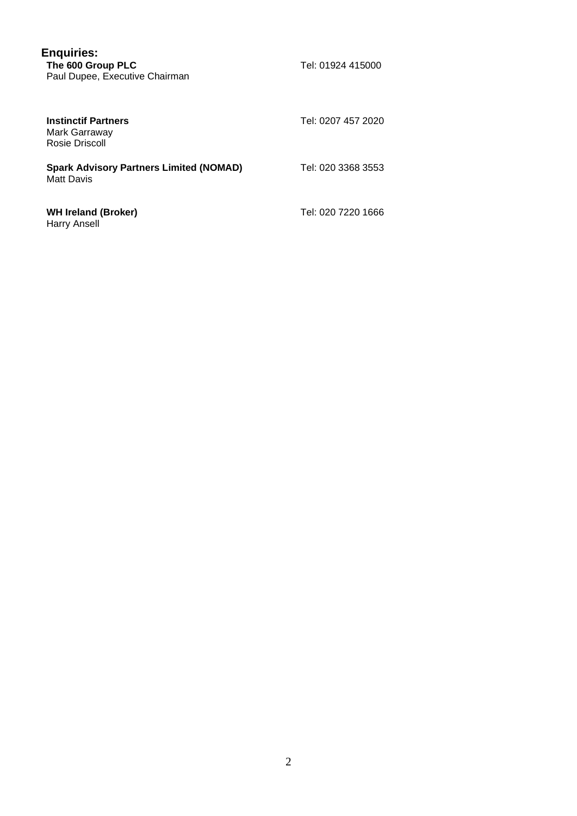| <b>Enquiries:</b><br>The 600 Group PLC<br>Paul Dupee, Executive Chairman | Tel: 01924 415000  |
|--------------------------------------------------------------------------|--------------------|
| <b>Instinctif Partners</b><br>Mark Garraway<br>Rosie Driscoll            | Tel: 0207 457 2020 |
| <b>Spark Advisory Partners Limited (NOMAD)</b><br>Matt Davis             | Tel: 020 3368 3553 |
| <b>WH Ireland (Broker)</b><br><b>Harry Ansell</b>                        | Tel: 020 7220 1666 |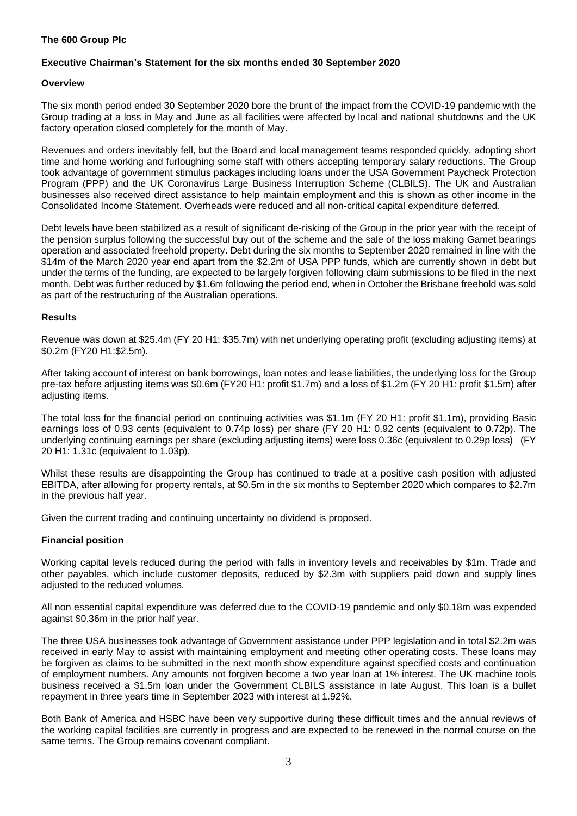### **The 600 Group Plc**

### **Executive Chairman's Statement for the six months ended 30 September 2020**

### **Overview**

The six month period ended 30 September 2020 bore the brunt of the impact from the COVID-19 pandemic with the Group trading at a loss in May and June as all facilities were affected by local and national shutdowns and the UK factory operation closed completely for the month of May.

Revenues and orders inevitably fell, but the Board and local management teams responded quickly, adopting short time and home working and furloughing some staff with others accepting temporary salary reductions. The Group took advantage of government stimulus packages including loans under the USA Government Paycheck Protection Program (PPP) and the UK Coronavirus Large Business Interruption Scheme (CLBILS). The UK and Australian businesses also received direct assistance to help maintain employment and this is shown as other income in the Consolidated Income Statement. Overheads were reduced and all non-critical capital expenditure deferred.

Debt levels have been stabilized as a result of significant de-risking of the Group in the prior year with the receipt of the pension surplus following the successful buy out of the scheme and the sale of the loss making Gamet bearings operation and associated freehold property. Debt during the six months to September 2020 remained in line with the \$14m of the March 2020 year end apart from the \$2.2m of USA PPP funds, which are currently shown in debt but under the terms of the funding, are expected to be largely forgiven following claim submissions to be filed in the next month. Debt was further reduced by \$1.6m following the period end, when in October the Brisbane freehold was sold as part of the restructuring of the Australian operations.

### **Results**

Revenue was down at \$25.4m (FY 20 H1: \$35.7m) with net underlying operating profit (excluding adjusting items) at \$0.2m (FY20 H1:\$2.5m).

After taking account of interest on bank borrowings, loan notes and lease liabilities, the underlying loss for the Group pre-tax before adjusting items was \$0.6m (FY20 H1: profit \$1.7m) and a loss of \$1.2m (FY 20 H1: profit \$1.5m) after adjusting items.

The total loss for the financial period on continuing activities was \$1.1m (FY 20 H1: profit \$1.1m), providing Basic earnings loss of 0.93 cents (equivalent to 0.74p loss) per share (FY 20 H1: 0.92 cents (equivalent to 0.72p). The underlying continuing earnings per share (excluding adjusting items) were loss 0.36c (equivalent to 0.29p loss) (FY 20 H1: 1.31c (equivalent to 1.03p).

Whilst these results are disappointing the Group has continued to trade at a positive cash position with adjusted EBITDA, after allowing for property rentals, at \$0.5m in the six months to September 2020 which compares to \$2.7m in the previous half year.

Given the current trading and continuing uncertainty no dividend is proposed.

### **Financial position**

Working capital levels reduced during the period with falls in inventory levels and receivables by \$1m. Trade and other payables, which include customer deposits, reduced by \$2.3m with suppliers paid down and supply lines adjusted to the reduced volumes.

All non essential capital expenditure was deferred due to the COVID-19 pandemic and only \$0.18m was expended against \$0.36m in the prior half year.

The three USA businesses took advantage of Government assistance under PPP legislation and in total \$2.2m was received in early May to assist with maintaining employment and meeting other operating costs. These loans may be forgiven as claims to be submitted in the next month show expenditure against specified costs and continuation of employment numbers. Any amounts not forgiven become a two year loan at 1% interest. The UK machine tools business received a \$1.5m loan under the Government CLBILS assistance in late August. This loan is a bullet repayment in three years time in September 2023 with interest at 1.92%.

Both Bank of America and HSBC have been very supportive during these difficult times and the annual reviews of the working capital facilities are currently in progress and are expected to be renewed in the normal course on the same terms. The Group remains covenant compliant.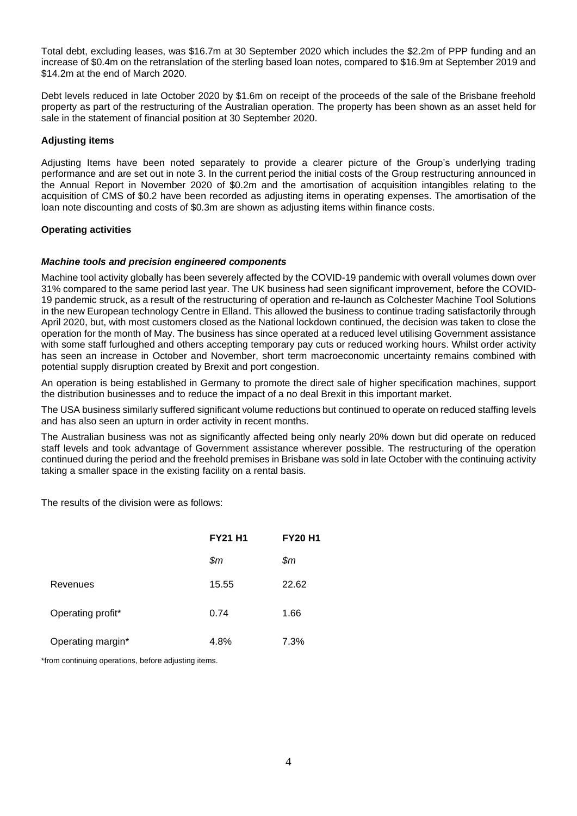Total debt, excluding leases, was \$16.7m at 30 September 2020 which includes the \$2.2m of PPP funding and an increase of \$0.4m on the retranslation of the sterling based loan notes, compared to \$16.9m at September 2019 and \$14.2m at the end of March 2020.

Debt levels reduced in late October 2020 by \$1.6m on receipt of the proceeds of the sale of the Brisbane freehold property as part of the restructuring of the Australian operation. The property has been shown as an asset held for sale in the statement of financial position at 30 September 2020.

### **Adjusting items**

Adjusting Items have been noted separately to provide a clearer picture of the Group's underlying trading performance and are set out in note 3. In the current period the initial costs of the Group restructuring announced in the Annual Report in November 2020 of \$0.2m and the amortisation of acquisition intangibles relating to the acquisition of CMS of \$0.2 have been recorded as adjusting items in operating expenses. The amortisation of the loan note discounting and costs of \$0.3m are shown as adjusting items within finance costs.

### **Operating activities**

### *Machine tools and precision engineered components*

Machine tool activity globally has been severely affected by the COVID-19 pandemic with overall volumes down over 31% compared to the same period last year. The UK business had seen significant improvement, before the COVID-19 pandemic struck, as a result of the restructuring of operation and re-launch as Colchester Machine Tool Solutions in the new European technology Centre in Elland. This allowed the business to continue trading satisfactorily through April 2020, but, with most customers closed as the National lockdown continued, the decision was taken to close the operation for the month of May. The business has since operated at a reduced level utilising Government assistance with some staff furloughed and others accepting temporary pay cuts or reduced working hours. Whilst order activity has seen an increase in October and November, short term macroeconomic uncertainty remains combined with potential supply disruption created by Brexit and port congestion.

An operation is being established in Germany to promote the direct sale of higher specification machines, support the distribution businesses and to reduce the impact of a no deal Brexit in this important market.

The USA business similarly suffered significant volume reductions but continued to operate on reduced staffing levels and has also seen an upturn in order activity in recent months.

The Australian business was not as significantly affected being only nearly 20% down but did operate on reduced staff levels and took advantage of Government assistance wherever possible. The restructuring of the operation continued during the period and the freehold premises in Brisbane was sold in late October with the continuing activity taking a smaller space in the existing facility on a rental basis.

The results of the division were as follows:

|                   | <b>FY21 H1</b> | <b>FY20 H1</b> |
|-------------------|----------------|----------------|
|                   | \$m            | \$m            |
| Revenues          | 15.55          | 22.62          |
| Operating profit* | 0.74           | 1.66           |
| Operating margin* | 4.8%           | 7.3%           |

\*from continuing operations, before adjusting items.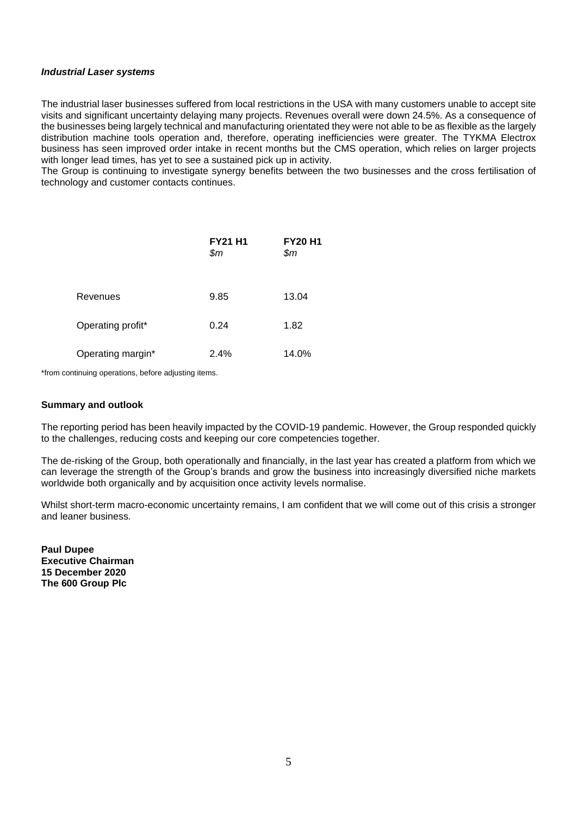### *Industrial Laser systems*

The industrial laser businesses suffered from local restrictions in the USA with many customers unable to accept site visits and significant uncertainty delaying many projects. Revenues overall were down 24.5%. As a consequence of the businesses being largely technical and manufacturing orientated they were not able to be as flexible as the largely distribution machine tools operation and, therefore, operating inefficiencies were greater. The TYKMA Electrox business has seen improved order intake in recent months but the CMS operation, which relies on larger projects with longer lead times, has yet to see a sustained pick up in activity.

The Group is continuing to investigate synergy benefits between the two businesses and the cross fertilisation of technology and customer contacts continues.

|                   | <b>FY21 H1</b><br>\$m | <b>FY20 H1</b><br>\$m\$ |
|-------------------|-----------------------|-------------------------|
| Revenues          | 9.85                  | 13.04                   |
| Operating profit* | 0.24                  | 1.82                    |
| Operating margin* | 2.4%                  | 14.0%                   |

\*from continuing operations, before adjusting items.

### **Summary and outlook**

The reporting period has been heavily impacted by the COVID-19 pandemic. However, the Group responded quickly to the challenges, reducing costs and keeping our core competencies together.

The de-risking of the Group, both operationally and financially, in the last year has created a platform from which we can leverage the strength of the Group's brands and grow the business into increasingly diversified niche markets worldwide both organically and by acquisition once activity levels normalise.

Whilst short-term macro-economic uncertainty remains, I am confident that we will come out of this crisis a stronger and leaner business.

**Paul Dupee Executive Chairman 15 December 2020 The 600 Group Plc**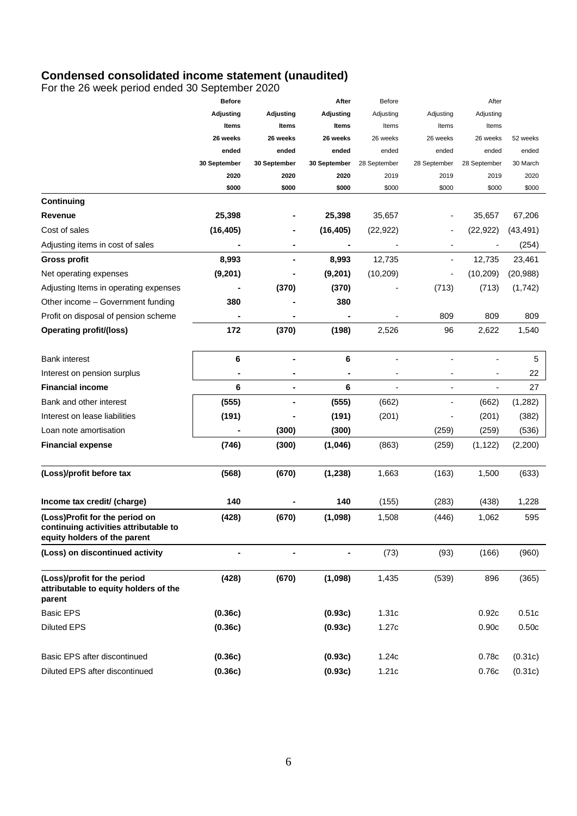## **Condensed consolidated income statement (unaudited)**

For the 26 week period ended 30 September 2020

|                                                 | <b>Before</b>    |              | After        | <b>Before</b>            |              | After                    |           |
|-------------------------------------------------|------------------|--------------|--------------|--------------------------|--------------|--------------------------|-----------|
|                                                 | <b>Adjusting</b> | Adjusting    | Adjusting    | Adjusting                | Adjusting    | Adjusting                |           |
|                                                 | Items            | Items        | Items        | Items                    | Items        | Items                    |           |
|                                                 | 26 weeks         | 26 weeks     | 26 weeks     | 26 weeks                 | 26 weeks     | 26 weeks                 | 52 weeks  |
|                                                 | ended            | ended        | ended        | ended                    | ended        | ended                    | ended     |
|                                                 | 30 September     | 30 September | 30 September | 28 September             | 28 September | 28 September             | 30 March  |
|                                                 | 2020             | 2020         | 2020         | 2019                     | 2019         | 2019                     | 2020      |
|                                                 | \$000            | \$000        | \$000        | \$000                    | \$000        | \$000                    | \$000     |
| Continuing                                      |                  |              |              |                          |              |                          |           |
| Revenue                                         | 25,398           |              | 25,398       | 35,657                   |              | 35,657                   | 67,206    |
| Cost of sales                                   | (16, 405)        |              | (16, 405)    | (22, 922)                |              | (22, 922)                | (43, 491) |
| Adjusting items in cost of sales                |                  |              |              |                          |              |                          | (254)     |
| <b>Gross profit</b>                             | 8,993            |              | 8,993        | 12,735                   | ۰            | 12,735                   | 23,461    |
| Net operating expenses                          | (9,201)          |              | (9,201)      | (10, 209)                |              | (10, 209)                | (20, 988) |
| Adjusting Items in operating expenses           |                  | (370)        | (370)        |                          | (713)        | (713)                    | (1, 742)  |
| Other income - Government funding               | 380              |              | 380          |                          |              |                          |           |
| Profit on disposal of pension scheme            |                  |              |              |                          | 809          | 809                      | 809       |
| <b>Operating profit/(loss)</b>                  | 172              | (370)        | (198)        | 2,526                    | 96           | 2,622                    | 1,540     |
|                                                 |                  |              |              |                          |              |                          |           |
| <b>Bank interest</b>                            | 6                | ۰            | 6            | $\overline{a}$           |              | Ĭ.                       | 5         |
| Interest on pension surplus                     |                  |              |              |                          |              |                          | 22        |
| <b>Financial income</b>                         | 6                | ۰            | 6            | $\overline{\phantom{a}}$ | ٠            | $\overline{\phantom{a}}$ | 27        |
| Bank and other interest                         | (555)            |              | (555)        | (662)                    |              | (662)                    | (1, 282)  |
| Interest on lease liabilities                   | (191)            |              | (191)        | (201)                    |              | (201)                    | (382)     |
| Loan note amortisation                          |                  | (300)        | (300)        |                          | (259)        | (259)                    | (536)     |
| <b>Financial expense</b>                        | (746)            | (300)        | (1,046)      | (863)                    | (259)        | (1, 122)                 | (2,200)   |
|                                                 |                  |              |              |                          |              |                          |           |
| (Loss)/profit before tax                        | (568)            | (670)        | (1, 238)     | 1,663                    | (163)        | 1,500                    | (633)     |
|                                                 |                  |              |              |                          |              |                          |           |
| Income tax credit/ (charge)                     | 140              |              | 140          | (155)                    | (283)        | (438)                    | 1,228     |
| (Loss)Profit for the period on                  | (428)            | (670)        | (1,098)      | 1,508                    | (446)        | 1,062                    | 595       |
| continuing activities attributable to           |                  |              |              |                          |              |                          |           |
| equity holders of the parent                    |                  |              |              |                          |              |                          |           |
| (Loss) on discontinued activity                 |                  |              |              | (73)                     | (93)         | (166)                    | (960)     |
| (Loss)/profit for the period                    | (428)            | (670)        | (1,098)      | 1,435                    | (539)        | 896                      | (365)     |
| attributable to equity holders of the<br>parent |                  |              |              |                          |              |                          |           |
| <b>Basic EPS</b>                                | (0.36c)          |              | (0.93c)      | 1.31c                    |              | 0.92c                    | 0.51c     |
| <b>Diluted EPS</b>                              | (0.36c)          |              | (0.93c)      | 1.27c                    |              | 0.90c                    | 0.50c     |
|                                                 |                  |              |              |                          |              |                          |           |
| Basic EPS after discontinued                    | (0.36c)          |              | (0.93c)      | 1.24c                    |              | 0.78c                    | (0.31c)   |
| Diluted EPS after discontinued                  | (0.36c)          |              | (0.93c)      | 1.21c                    |              | 0.76c                    | (0.31c)   |
|                                                 |                  |              |              |                          |              |                          |           |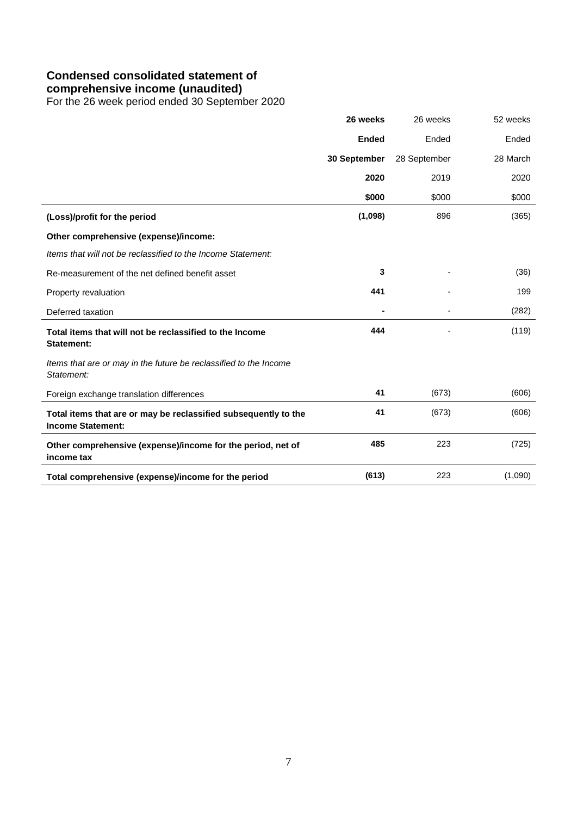## **Condensed consolidated statement of**

### **comprehensive income (unaudited)**

For the 26 week period ended 30 September 2020

|                                                                                             | 26 weeks     | 26 weeks     | 52 weeks |
|---------------------------------------------------------------------------------------------|--------------|--------------|----------|
|                                                                                             | <b>Ended</b> | Ended        | Ended    |
|                                                                                             | 30 September | 28 September | 28 March |
|                                                                                             | 2020         | 2019         | 2020     |
|                                                                                             | \$000        | \$000        | \$000    |
| (Loss)/profit for the period                                                                | (1,098)      | 896          | (365)    |
| Other comprehensive (expense)/income:                                                       |              |              |          |
| Items that will not be reclassified to the Income Statement:                                |              |              |          |
| Re-measurement of the net defined benefit asset                                             | 3            |              | (36)     |
| Property revaluation                                                                        | 441          |              | 199      |
| Deferred taxation                                                                           |              |              | (282)    |
| Total items that will not be reclassified to the Income<br>Statement:                       | 444          |              | (119)    |
| Items that are or may in the future be reclassified to the Income<br>Statement:             |              |              |          |
| Foreign exchange translation differences                                                    | 41           | (673)        | (606)    |
| Total items that are or may be reclassified subsequently to the<br><b>Income Statement:</b> | 41           | (673)        | (606)    |
| Other comprehensive (expense)/income for the period, net of<br>income tax                   | 485          | 223          | (725)    |
| Total comprehensive (expense)/income for the period                                         | (613)        | 223          | (1,090)  |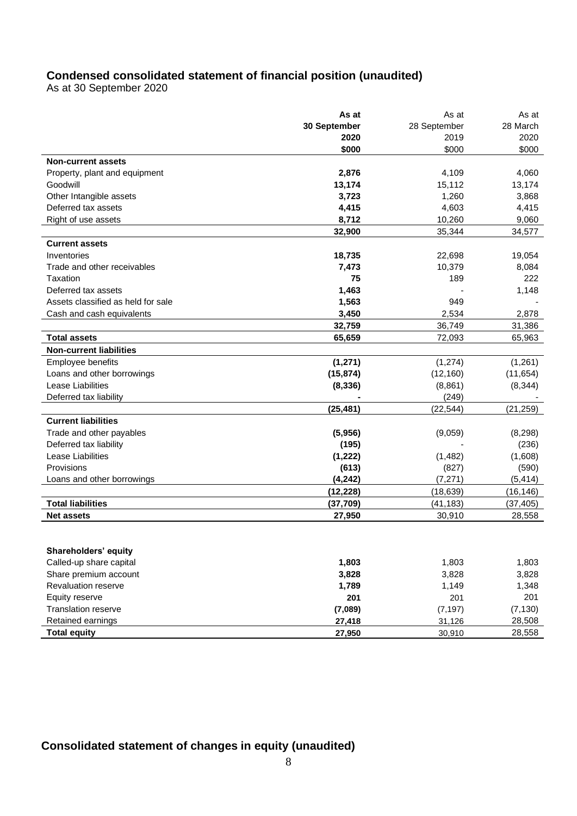# **Condensed consolidated statement of financial position (unaudited)**

As at 30 September 2020

|                                    | As at        | As at        | As at     |
|------------------------------------|--------------|--------------|-----------|
|                                    | 30 September | 28 September | 28 March  |
|                                    | 2020         | 2019         | 2020      |
|                                    | \$000        | \$000        | \$000     |
| <b>Non-current assets</b>          |              |              |           |
| Property, plant and equipment      | 2,876        | 4,109        | 4,060     |
| Goodwill                           | 13,174       | 15,112       | 13,174    |
| Other Intangible assets            | 3,723        | 1,260        | 3,868     |
| Deferred tax assets                | 4,415        | 4,603        | 4,415     |
| Right of use assets                | 8,712        | 10,260       | 9,060     |
|                                    | 32,900       | 35,344       | 34,577    |
| <b>Current assets</b>              |              |              |           |
| Inventories                        | 18,735       | 22,698       | 19,054    |
| Trade and other receivables        | 7,473        | 10,379       | 8,084     |
| Taxation                           | 75           | 189          | 222       |
| Deferred tax assets                | 1,463        |              | 1,148     |
| Assets classified as held for sale | 1,563        | 949          |           |
| Cash and cash equivalents          | 3,450        | 2,534        | 2,878     |
|                                    | 32,759       | 36,749       | 31,386    |
| <b>Total assets</b>                | 65,659       | 72,093       | 65,963    |
| <b>Non-current liabilities</b>     |              |              |           |
| Employee benefits                  | (1, 271)     | (1, 274)     | (1,261)   |
| Loans and other borrowings         | (15, 874)    | (12, 160)    | (11, 654) |
| Lease Liabilities                  | (8, 336)     | (8,861)      | (8, 344)  |
| Deferred tax liability             |              | (249)        |           |
|                                    | (25, 481)    | (22, 544)    | (21, 259) |
| <b>Current liabilities</b>         |              |              |           |
| Trade and other payables           | (5,956)      | (9,059)      | (8, 298)  |
| Deferred tax liability             | (195)        |              | (236)     |
| Lease Liabilities                  | (1, 222)     | (1,482)      | (1,608)   |
| Provisions                         | (613)        | (827)        | (590)     |
| Loans and other borrowings         | (4, 242)     | (7, 271)     | (5, 414)  |
|                                    | (12, 228)    | (18, 639)    | (16, 146) |
| <b>Total liabilities</b>           | (37, 709)    | (41, 183)    | (37, 405) |
| <b>Net assets</b>                  | 27,950       | 30,910       | 28,558    |
|                                    |              |              |           |
|                                    |              |              |           |
| Shareholders' equity               |              |              |           |
| Called-up share capital            | 1,803        | 1,803        | 1,803     |
| Share premium account              | 3,828        | 3,828        | 3,828     |
| Revaluation reserve                | 1,789        | 1,149        | 1,348     |
| Equity reserve                     | 201          | 201          | 201       |
| Translation reserve                | (7,089)      | (7, 197)     | (7, 130)  |
| Retained earnings                  | 27,418       | 31,126       | 28,508    |
| <b>Total equity</b>                | 27,950       | 30,910       | 28,558    |

## **Consolidated statement of changes in equity (unaudited)**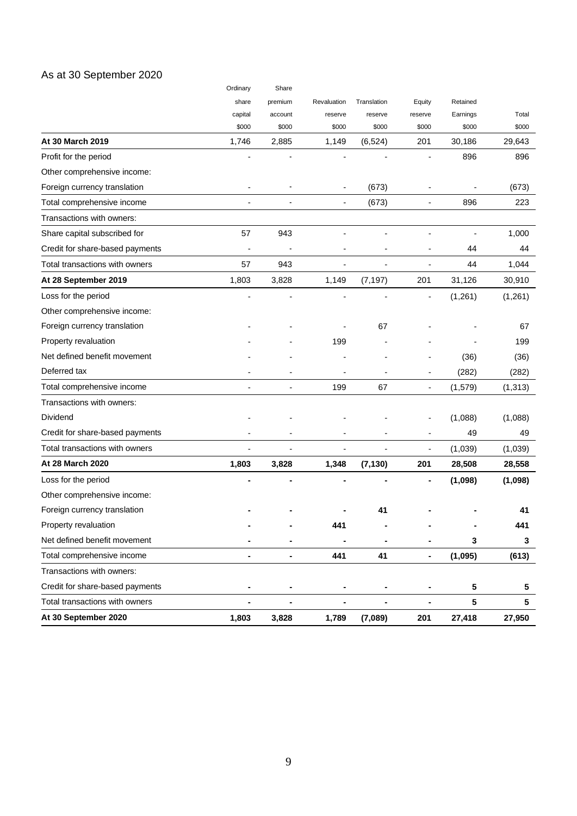## As at 30 September 2020

|                                 | Ordinary       | Share          |                |                |                          |          |          |
|---------------------------------|----------------|----------------|----------------|----------------|--------------------------|----------|----------|
|                                 | share          | premium        | Revaluation    | Translation    | Equity                   | Retained |          |
|                                 | capital        | account        | reserve        | reserve        | reserve                  | Earnings | Total    |
|                                 | \$000          | \$000          | \$000          | \$000          | \$000                    | \$000    | \$000    |
| At 30 March 2019                | 1,746          | 2,885          | 1,149          | (6, 524)       | 201                      | 30,186   | 29,643   |
| Profit for the period           |                |                |                |                |                          | 896      | 896      |
| Other comprehensive income:     |                |                |                |                |                          |          |          |
| Foreign currency translation    |                |                |                | (673)          | $\overline{a}$           |          | (673)    |
| Total comprehensive income      |                |                |                | (673)          |                          | 896      | 223      |
| Transactions with owners:       |                |                |                |                |                          |          |          |
| Share capital subscribed for    | 57             | 943            |                |                |                          |          | 1,000    |
| Credit for share-based payments | $\overline{a}$ |                |                |                |                          | 44       | 44       |
| Total transactions with owners  | 57             | 943            |                |                |                          | 44       | 1,044    |
| At 28 September 2019            | 1,803          | 3,828          | 1,149          | (7, 197)       | 201                      | 31,126   | 30,910   |
| Loss for the period             |                |                |                |                | ł,                       | (1, 261) | (1,261)  |
| Other comprehensive income:     |                |                |                |                |                          |          |          |
| Foreign currency translation    |                |                |                | 67             |                          |          | 67       |
| Property revaluation            |                |                | 199            |                |                          |          | 199      |
| Net defined benefit movement    |                |                |                |                |                          | (36)     | (36)     |
| Deferred tax                    |                |                |                |                |                          | (282)    | (282)    |
| Total comprehensive income      |                |                | 199            | 67             | $\overline{\phantom{a}}$ | (1,579)  | (1, 313) |
| Transactions with owners:       |                |                |                |                |                          |          |          |
| Dividend                        |                |                |                |                |                          | (1,088)  | (1,088)  |
| Credit for share-based payments |                |                |                |                |                          | 49       | 49       |
| Total transactions with owners  | ٠              |                |                |                | $\overline{\phantom{a}}$ | (1,039)  | (1,039)  |
| At 28 March 2020                | 1,803          | 3,828          | 1,348          | (7, 130)       | 201                      | 28,508   | 28,558   |
| Loss for the period             |                |                |                |                |                          | (1,098)  | (1,098)  |
| Other comprehensive income:     |                |                |                |                |                          |          |          |
| Foreign currency translation    |                |                |                | 41             |                          |          | 41       |
| Property revaluation            |                |                | 441            |                |                          |          | 441      |
| Net defined benefit movement    |                |                |                |                |                          | 3        | 3        |
| Total comprehensive income      | ä,             | $\blacksquare$ | 441            | 41             | $\blacksquare$           | (1,095)  | (613)    |
| Transactions with owners:       |                |                |                |                |                          |          |          |
| Credit for share-based payments |                |                |                |                |                          | 5        | 5        |
| Total transactions with owners  | ä,             | ۰              | $\blacksquare$ | $\blacksquare$ | $\blacksquare$           | 5        | 5        |
| At 30 September 2020            | 1,803          | 3,828          | 1,789          | (7,089)        | 201                      | 27,418   | 27,950   |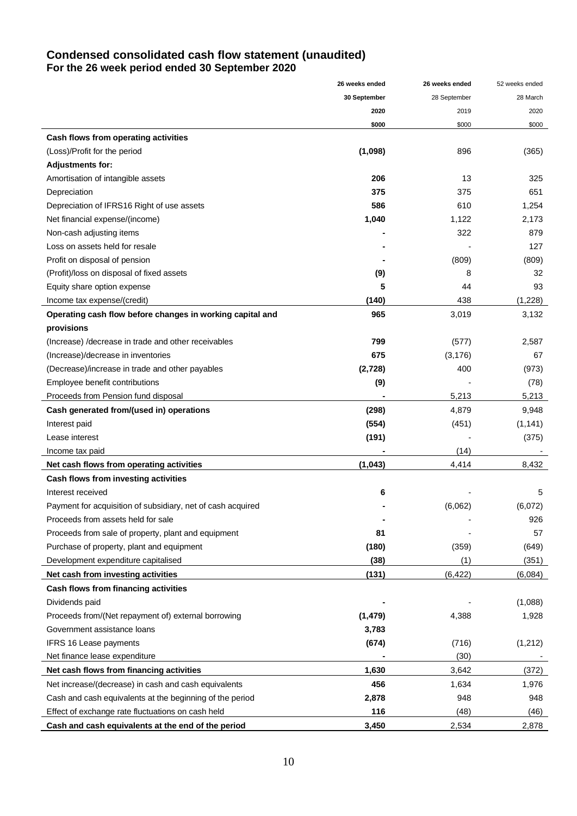## **Condensed consolidated cash flow statement (unaudited) For the 26 week period ended 30 September 2020**

|                                                             | 26 weeks ended | 26 weeks ended | 52 weeks ended |
|-------------------------------------------------------------|----------------|----------------|----------------|
|                                                             | 30 September   | 28 September   | 28 March       |
|                                                             | 2020           | 2019           | 2020           |
|                                                             | \$000          | \$000          | \$000          |
| Cash flows from operating activities                        |                |                |                |
| (Loss)/Profit for the period                                | (1,098)        | 896            | (365)          |
| <b>Adjustments for:</b>                                     |                |                |                |
| Amortisation of intangible assets                           | 206            | 13             | 325            |
| Depreciation                                                | 375            | 375            | 651            |
| Depreciation of IFRS16 Right of use assets                  | 586            | 610            | 1,254          |
| Net financial expense/(income)                              | 1,040          | 1,122          | 2,173          |
| Non-cash adjusting items                                    |                | 322            | 879            |
| Loss on assets held for resale                              |                |                | 127            |
| Profit on disposal of pension                               |                | (809)          | (809)          |
| (Profit)/loss on disposal of fixed assets                   | (9)            | 8              | 32             |
| Equity share option expense                                 | 5              | 44             | 93             |
| Income tax expense/(credit)                                 | (140)          | 438            | (1,228)        |
| Operating cash flow before changes in working capital and   | 965            | 3,019          | 3,132          |
| provisions                                                  |                |                |                |
| (Increase) /decrease in trade and other receivables         | 799            | (577)          | 2,587          |
| (Increase)/decrease in inventories                          | 675            | (3, 176)       | 67             |
| (Decrease)/increase in trade and other payables             | (2,728)        | 400            | (973)          |
| Employee benefit contributions                              | (9)            |                | (78)           |
| Proceeds from Pension fund disposal                         |                | 5,213          | 5,213          |
| Cash generated from/(used in) operations                    | (298)          | 4,879          | 9,948          |
| Interest paid                                               | (554)          | (451)          | (1, 141)       |
| Lease interest                                              | (191)          |                | (375)          |
| Income tax paid                                             |                | (14)           |                |
| Net cash flows from operating activities                    | (1,043)        | 4,414          | 8,432          |
| Cash flows from investing activities                        |                |                |                |
| Interest received                                           | 6              |                | 5              |
| Payment for acquisition of subsidiary, net of cash acquired |                | (6,062)        | (6,072)        |
| Proceeds from assets held for sale                          |                |                | 926            |
| Proceeds from sale of property, plant and equipment         | 81             |                | 57             |
| Purchase of property, plant and equipment                   | (180)          | (359)          | (649)          |
| Development expenditure capitalised                         | (38)           | (1)            | (351)          |
| Net cash from investing activities                          | (131)          | (6, 422)       | (6,084)        |
| Cash flows from financing activities                        |                |                |                |
| Dividends paid                                              |                |                | (1,088)        |
| Proceeds from/(Net repayment of) external borrowing         | (1, 479)       | 4,388          | 1,928          |
| Government assistance loans                                 | 3,783          |                |                |
| <b>IFRS 16 Lease payments</b>                               | (674)          | (716)          | (1, 212)       |
| Net finance lease expenditure                               |                | (30)           |                |
| Net cash flows from financing activities                    | 1,630          | 3,642          | (372)          |
| Net increase/(decrease) in cash and cash equivalents        | 456            | 1,634          | 1,976          |
| Cash and cash equivalents at the beginning of the period    | 2,878          | 948            | 948            |
| Effect of exchange rate fluctuations on cash held           | 116            | (48)           | (46)           |
| Cash and cash equivalents at the end of the period          | 3,450          | 2,534          | 2,878          |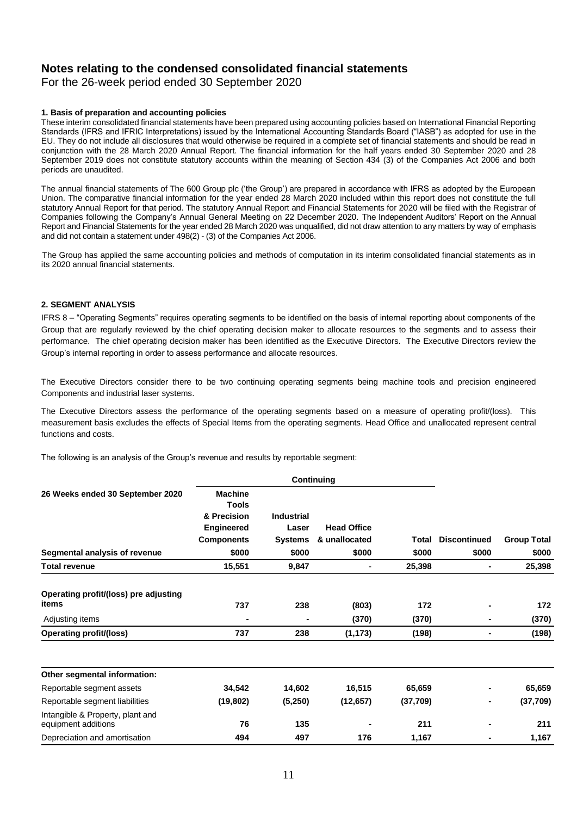## **Notes relating to the condensed consolidated financial statements**

For the 26-week period ended 30 September 2020

### **1. Basis of preparation and accounting policies**

These interim consolidated financial statements have been prepared using accounting policies based on International Financial Reporting Standards (IFRS and IFRIC Interpretations) issued by the International Accounting Standards Board ("IASB") as adopted for use in the EU. They do not include all disclosures that would otherwise be required in a complete set of financial statements and should be read in conjunction with the 28 March 2020 Annual Report. The financial information for the half years ended 30 September 2020 and 28 September 2019 does not constitute statutory accounts within the meaning of Section 434 (3) of the Companies Act 2006 and both periods are unaudited.

 The annual financial statements of The 600 Group plc ('the Group') are prepared in accordance with IFRS as adopted by the European Union. The comparative financial information for the year ended 28 March 2020 included within this report does not constitute the full statutory Annual Report for that period. The statutory Annual Report and Financial Statements for 2020 will be filed with the Registrar of Companies following the Company's Annual General Meeting on 22 December 2020. The Independent Auditors' Report on the Annual Report and Financial Statements for the year ended 28 March 2020 was unqualified, did not draw attention to any matters by way of emphasis and did not contain a statement under 498(2) - (3) of the Companies Act 2006.

 The Group has applied the same accounting policies and methods of computation in its interim consolidated financial statements as in its 2020 annual financial statements.

#### **2. SEGMENT ANALYSIS**

IFRS 8 – "Operating Segments" requires operating segments to be identified on the basis of internal reporting about components of the Group that are regularly reviewed by the chief operating decision maker to allocate resources to the segments and to assess their performance. The chief operating decision maker has been identified as the Executive Directors. The Executive Directors review the Group's internal reporting in order to assess performance and allocate resources.

The Executive Directors consider there to be two continuing operating segments being machine tools and precision engineered Components and industrial laser systems.

The Executive Directors assess the performance of the operating segments based on a measure of operating profit/(loss). This measurement basis excludes the effects of Special Items from the operating segments. Head Office and unallocated represent central functions and costs.

The following is an analysis of the Group's revenue and results by reportable segment:

| 26 Weeks ended 30 September 2020                        | <b>Machine</b><br><b>Tools</b> |                   |                    |           |                     |                    |
|---------------------------------------------------------|--------------------------------|-------------------|--------------------|-----------|---------------------|--------------------|
|                                                         | & Precision                    | <b>Industrial</b> |                    |           |                     |                    |
|                                                         | Engineered                     | Laser             | <b>Head Office</b> |           |                     |                    |
|                                                         | <b>Components</b>              | <b>Systems</b>    | & unallocated      | Total     | <b>Discontinued</b> | <b>Group Total</b> |
| Segmental analysis of revenue                           | \$000                          | \$000             | \$000              | \$000     | \$000               | \$000              |
| <b>Total revenue</b>                                    | 15,551                         | 9,847             | -                  | 25,398    | ٠                   | 25,398             |
| Operating profit/(loss) pre adjusting<br>items          | 737                            | 238               | (803)              | 172       | ۰                   | 172                |
| Adjusting items                                         |                                |                   | (370)              | (370)     | ٠                   | (370)              |
| <b>Operating profit/(loss)</b>                          | 737                            | 238               | (1, 173)           | (198)     | ۰                   | (198)              |
|                                                         |                                |                   |                    |           |                     |                    |
| Other segmental information:                            |                                |                   |                    |           |                     |                    |
| Reportable segment assets                               | 34,542                         | 14,602            | 16,515             | 65,659    |                     | 65,659             |
| Reportable segment liabilities                          | (19, 802)                      | (5,250)           | (12, 657)          | (37, 709) | ۰                   | (37, 709)          |
| Intangible & Property, plant and<br>equipment additions | 76                             | 135               |                    | 211       |                     | 211                |
| Depreciation and amortisation                           | 494                            | 497               | 176                | 1,167     | $\blacksquare$      | 1,167              |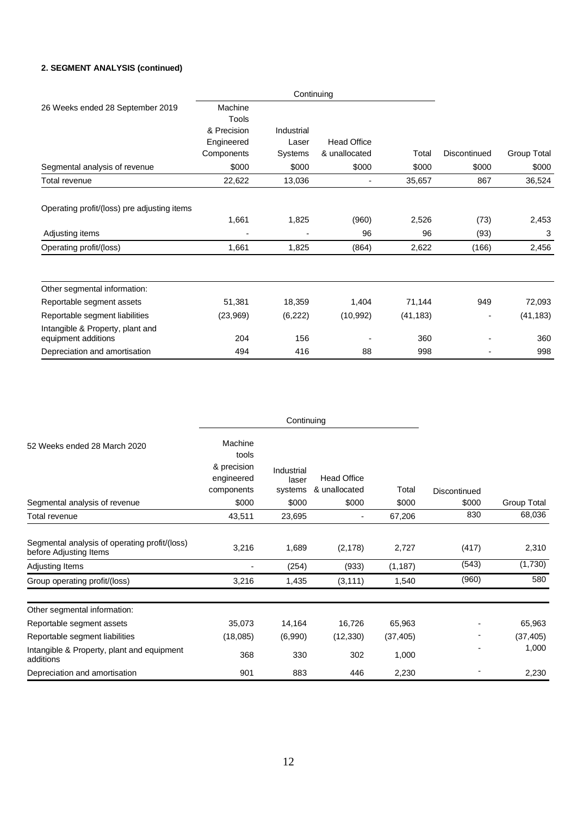### **2. SEGMENT ANALYSIS (continued)**

|                                                         | Continuing  |            |                    |           |              |             |
|---------------------------------------------------------|-------------|------------|--------------------|-----------|--------------|-------------|
| 26 Weeks ended 28 September 2019                        | Machine     |            |                    |           |              |             |
|                                                         | Tools       |            |                    |           |              |             |
|                                                         | & Precision | Industrial |                    |           |              |             |
|                                                         | Engineered  | Laser      | <b>Head Office</b> |           |              |             |
|                                                         | Components  | Systems    | & unallocated      | Total     | Discontinued | Group Total |
| Segmental analysis of revenue                           | \$000       | \$000      | \$000              | \$000     | \$000        | \$000       |
| Total revenue                                           | 22,622      | 13,036     | -                  | 35,657    | 867          | 36,524      |
| Operating profit/(loss) pre adjusting items             |             |            |                    |           |              |             |
|                                                         | 1,661       | 1,825      | (960)              | 2,526     | (73)         | 2,453       |
| Adjusting items                                         |             | ٠          | 96                 | 96        | (93)         | 3           |
| Operating profit/(loss)                                 | 1,661       | 1,825      | (864)              | 2,622     | (166)        | 2,456       |
| Other segmental information:                            |             |            |                    |           |              |             |
| Reportable segment assets                               | 51,381      | 18,359     | 1,404              | 71,144    | 949          | 72,093      |
| Reportable segment liabilities                          | (23,969)    | (6, 222)   | (10, 992)          | (41, 183) | -            | (41, 183)   |
| Intangible & Property, plant and<br>equipment additions | 204         | 156        |                    | 360       |              | 360         |
| Depreciation and amortisation                           | 494         | 416        | 88                 | 998       |              | 998         |

|                                                                         | Continuing                                                  |                                |                                     |           |                     |             |
|-------------------------------------------------------------------------|-------------------------------------------------------------|--------------------------------|-------------------------------------|-----------|---------------------|-------------|
| 52 Weeks ended 28 March 2020                                            | Machine<br>tools<br>& precision<br>engineered<br>components | Industrial<br>laser<br>systems | <b>Head Office</b><br>& unallocated | Total     | <b>Discontinued</b> |             |
| Segmental analysis of revenue                                           | \$000                                                       | \$000                          | \$000                               | \$000     | \$000               | Group Total |
| Total revenue                                                           | 43,511                                                      | 23,695                         | $\overline{\phantom{a}}$            | 67,206    | 830                 | 68,036      |
| Segmental analysis of operating profit/(loss)<br>before Adjusting Items | 3,216                                                       | 1,689                          | (2, 178)                            | 2,727     | (417)               | 2,310       |
| Adjusting Items                                                         |                                                             | (254)                          | (933)                               | (1, 187)  | (543)               | (1,730)     |
| Group operating profit/(loss)                                           | 3,216                                                       | 1,435                          | (3, 111)                            | 1,540     | (960)               | 580         |
| Other segmental information:                                            |                                                             |                                |                                     |           |                     |             |
| Reportable segment assets                                               | 35,073                                                      | 14,164                         | 16,726                              | 65,963    |                     | 65,963      |
| Reportable segment liabilities                                          | (18,085)                                                    | (6,990)                        | (12, 330)                           | (37, 405) |                     | (37, 405)   |
| Intangible & Property, plant and equipment<br>additions                 | 368                                                         | 330                            | 302                                 | 1,000     |                     | 1,000       |
| Depreciation and amortisation                                           | 901                                                         | 883                            | 446                                 | 2,230     |                     | 2,230       |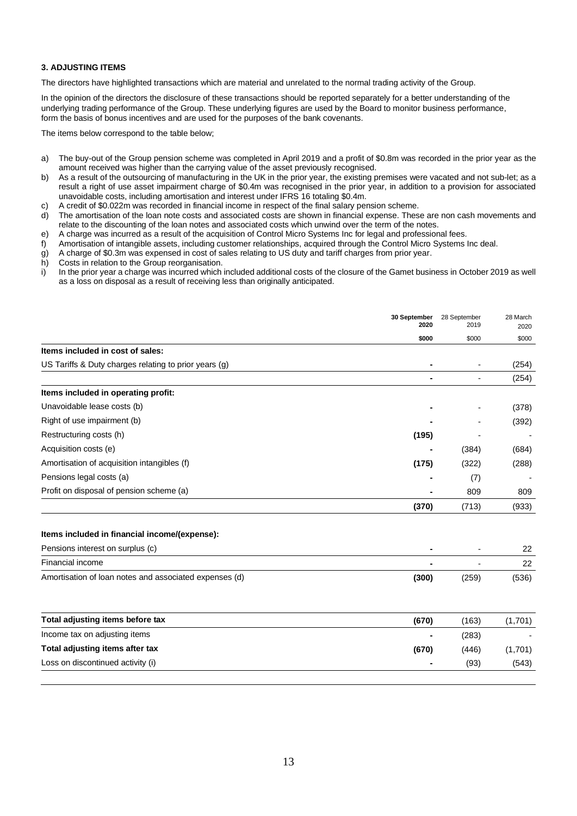### **3. ADJUSTING ITEMS**

The directors have highlighted transactions which are material and unrelated to the normal trading activity of the Group.

In the opinion of the directors the disclosure of these transactions should be reported separately for a better understanding of the underlying trading performance of the Group. These underlying figures are used by the Board to monitor business performance, form the basis of bonus incentives and are used for the purposes of the bank covenants.

The items below correspond to the table below;

- a) The buy-out of the Group pension scheme was completed in April 2019 and a profit of \$0.8m was recorded in the prior year as the amount received was higher than the carrying value of the asset previously recognised.
- b) As a result of the outsourcing of manufacturing in the UK in the prior year, the existing premises were vacated and not sub-let; as a result a right of use asset impairment charge of \$0.4m was recognised in the prior year, in addition to a provision for associated unavoidable costs, including amortisation and interest under IFRS 16 totaling \$0.4m.
- c) A credit of \$0.022m was recorded in financial income in respect of the final salary pension scheme.
- d) The amortisation of the loan note costs and associated costs are shown in financial expense. These are non cash movements and relate to the discounting of the loan notes and associated costs which unwind over the term of the notes.
- e) A charge was incurred as a result of the acquisition of Control Micro Systems Inc for legal and professional fees.
- f) Amortisation of intangible assets, including customer relationships, acquired through the Control Micro Systems Inc deal.
- g) A charge of \$0.3m was expensed in cost of sales relating to US duty and tariff charges from prior year.
- h) Costs in relation to the Group reorganisation.
- i) In the prior year a charge was incurred which included additional costs of the closure of the Gamet business in October 2019 as well as a loss on disposal as a result of receiving less than originally anticipated.

|                                                       | 30 September<br>2020 | 28 September<br>2019     | 28 March<br>2020 |
|-------------------------------------------------------|----------------------|--------------------------|------------------|
|                                                       | \$000                | \$000                    | \$000            |
| Items included in cost of sales:                      |                      |                          |                  |
| US Tariffs & Duty charges relating to prior years (g) |                      | ٠                        | (254)            |
|                                                       |                      | $\overline{\phantom{a}}$ | (254)            |
| Items included in operating profit:                   |                      |                          |                  |
| Unavoidable lease costs (b)                           |                      |                          | (378)            |
| Right of use impairment (b)                           |                      |                          | (392)            |
| Restructuring costs (h)                               | (195)                |                          |                  |
| Acquisition costs (e)                                 |                      | (384)                    | (684)            |
| Amortisation of acquisition intangibles (f)           | (175)                | (322)                    | (288)            |
| Pensions legal costs (a)                              |                      | (7)                      |                  |
| Profit on disposal of pension scheme (a)              |                      | 809                      | 809              |
|                                                       | (370)                | (713)                    | (933)            |
| Items included in financial income/(expense):         |                      |                          |                  |
| Pensions interest on surplus (c)                      |                      |                          | 22               |

|                                                        |       |       | --    |
|--------------------------------------------------------|-------|-------|-------|
| Financial income                                       |       |       | ົ     |
| Amortisation of loan notes and associated expenses (d) | (300) | (259) | (536) |

| Total adjusting items before tax  | (670)  | (163) | (1,701) |
|-----------------------------------|--------|-------|---------|
| Income tax on adjusting items     |        | (283) |         |
| Total adjusting items after tax   | (670)  | (446) | (1,701) |
| Loss on discontinued activity (i) | $\sim$ | (93)  | (543)   |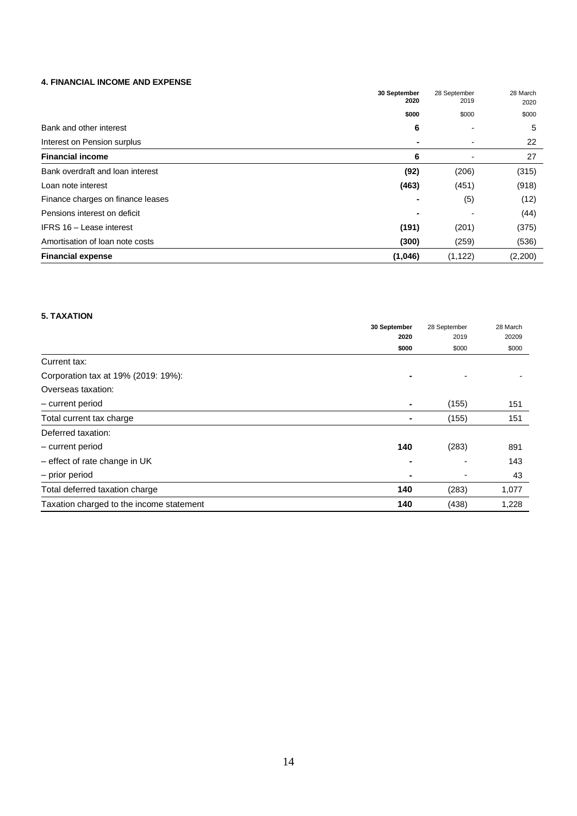### **4. FINANCIAL INCOME AND EXPENSE**

|                                   | 30 September<br>2020 | 28 September<br>2019 | 28 March<br>2020 |
|-----------------------------------|----------------------|----------------------|------------------|
|                                   | \$000                | \$000                | \$000            |
| Bank and other interest           | 6                    |                      | 5                |
| Interest on Pension surplus       |                      |                      | 22               |
| <b>Financial income</b>           | 6                    |                      | 27               |
| Bank overdraft and loan interest  | (92)                 | (206)                | (315)            |
| Loan note interest                | (463)                | (451)                | (918)            |
| Finance charges on finance leases |                      | (5)                  | (12)             |
| Pensions interest on deficit      |                      |                      | (44)             |
| IFRS 16 - Lease interest          | (191)                | (201)                | (375)            |
| Amortisation of loan note costs   | (300)                | (259)                | (536)            |
| <b>Financial expense</b>          | (1,046)              | (1, 122)             | (2,200)          |

### **5. TAXATION**

|                                          | 30 September   |       | 28 March |
|------------------------------------------|----------------|-------|----------|
|                                          | 2020           | 2019  | 20209    |
|                                          | \$000          | \$000 | \$000    |
| Current tax:                             |                |       |          |
| Corporation tax at 19% (2019: 19%):      |                |       |          |
| Overseas taxation:                       |                |       |          |
| - current period                         | $\blacksquare$ | (155) | 151      |
| Total current tax charge                 |                | (155) | 151      |
| Deferred taxation:                       |                |       |          |
| - current period                         | 140            | (283) | 891      |
| $-$ effect of rate change in UK          |                |       | 143      |
| - prior period                           |                |       | 43       |
| Total deferred taxation charge           | 140            | (283) | 1,077    |
| Taxation charged to the income statement | 140            | (438) | 1,228    |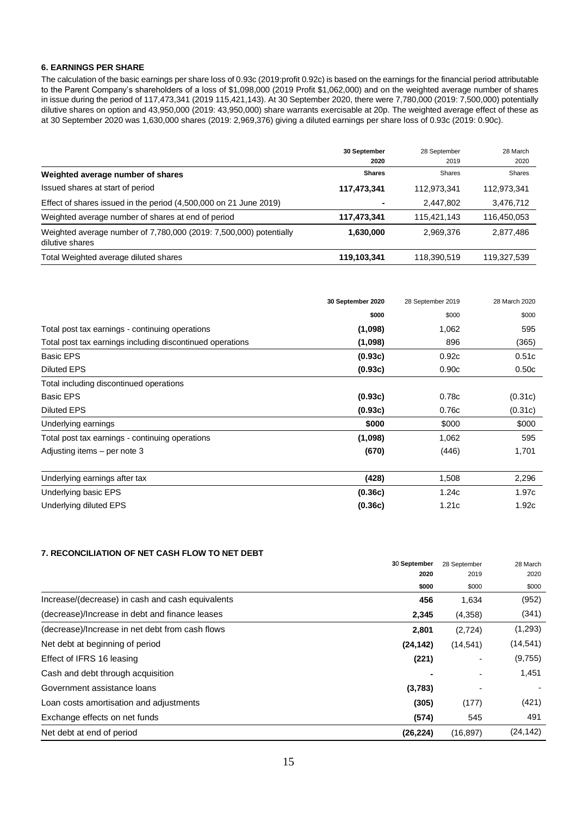### **6. EARNINGS PER SHARE**

The calculation of the basic earnings per share loss of 0.93c (2019:profit 0.92c) is based on the earnings for the financial period attributable to the Parent Company's shareholders of a loss of \$1,098,000 (2019 Profit \$1,062,000) and on the weighted average number of shares in issue during the period of 117,473,341 (2019 115,421,143). At 30 September 2020, there were 7,780,000 (2019: 7,500,000) potentially dilutive shares on option and 43,950,000 (2019: 43,950,000) share warrants exercisable at 20p. The weighted average effect of these as at 30 September 2020 was 1,630,000 shares (2019: 2,969,376) giving a diluted earnings per share loss of 0.93c (2019: 0.90c).

|                                                                                       | 30 September  | 28 September  | 28 March    |
|---------------------------------------------------------------------------------------|---------------|---------------|-------------|
|                                                                                       | 2020          | 2019          | 2020        |
| Weighted average number of shares                                                     | <b>Shares</b> | <b>Shares</b> | Shares      |
| Issued shares at start of period                                                      | 117,473,341   | 112,973,341   | 112,973,341 |
| Effect of shares issued in the period (4,500,000 on 21 June 2019)                     |               | 2,447,802     | 3,476,712   |
| Weighted average number of shares at end of period                                    | 117,473,341   | 115,421,143   | 116,450,053 |
| Weighted average number of 7,780,000 (2019: 7,500,000) potentially<br>dilutive shares | 1,630,000     | 2,969,376     | 2,877,486   |
| Total Weighted average diluted shares                                                 | 119,103,341   | 118,390,519   | 119,327,539 |

|                                                           | 30 September 2020 | 28 September 2019 | 28 March 2020 |
|-----------------------------------------------------------|-------------------|-------------------|---------------|
|                                                           | \$000             | \$000             | \$000         |
| Total post tax earnings - continuing operations           | (1,098)           | 1,062             | 595           |
| Total post tax earnings including discontinued operations | (1,098)           | 896               | (365)         |
| <b>Basic EPS</b>                                          | (0.93c)           | 0.92c             | 0.51c         |
| <b>Diluted EPS</b>                                        | (0.93c)           | 0.90c             | 0.50c         |
| Total including discontinued operations                   |                   |                   |               |
| <b>Basic EPS</b>                                          | (0.93c)           | 0.78c             | (0.31c)       |
| <b>Diluted EPS</b>                                        | (0.93c)           | 0.76c             | (0.31c)       |
| Underlying earnings                                       | \$000             | \$000             | \$000         |
| Total post tax earnings - continuing operations           | (1,098)           | 1,062             | 595           |
| Adjusting items - per note 3                              | (670)             | (446)             | 1,701         |
| Underlying earnings after tax                             | (428)             | 1,508             | 2,296         |
| Underlying basic EPS                                      | (0.36c)           | 1.24c             | 1.97c         |
| Underlying diluted EPS                                    | (0.36c)           | 1.21c             | 1.92c         |

### **7. RECONCILIATION OF NET CASH FLOW TO NET DEBT**

|                                                  | 30 September<br>2020 | 28 September<br>2019 | 28 March<br>2020 |
|--------------------------------------------------|----------------------|----------------------|------------------|
|                                                  | \$000                | \$000                | \$000            |
| Increase/(decrease) in cash and cash equivalents | 456                  | 1,634                | (952)            |
| (decrease)/Increase in debt and finance leases   | 2,345                | (4,358)              | (341)            |
| (decrease)/Increase in net debt from cash flows  | 2,801                | (2,724)              | (1,293)          |
| Net debt at beginning of period                  | (24, 142)            | (14, 541)            | (14, 541)        |
| Effect of IFRS 16 leasing                        | (221)                | -                    | (9,755)          |
| Cash and debt through acquisition                |                      | ۰                    | 1,451            |
| Government assistance loans                      | (3,783)              |                      |                  |
| Loan costs amortisation and adjustments          | (305)                | (177)                | (421)            |
| Exchange effects on net funds                    | (574)                | 545                  | 491              |
| Net debt at end of period                        | (26, 224)            | (16, 897)            | (24, 142)        |